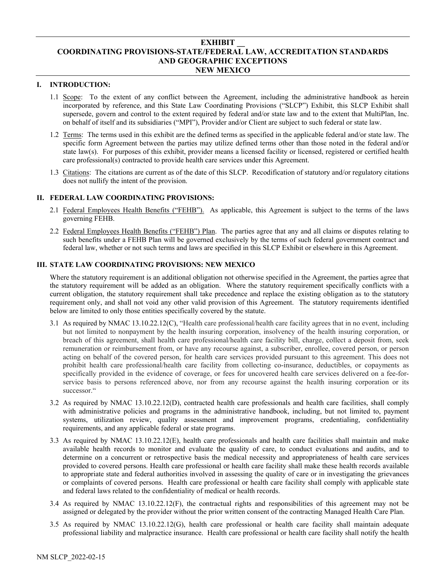## **EXHIBIT \_\_ COORDINATING PROVISIONS-STATE/FEDERAL LAW, ACCREDITATION STANDARDS AND GEOGRAPHIC EXCEPTIONS NEW MEXICO**

## **I. INTRODUCTION:**

- 1.1 Scope: To the extent of any conflict between the Agreement, including the administrative handbook as herein incorporated by reference, and this State Law Coordinating Provisions ("SLCP") Exhibit, this SLCP Exhibit shall supersede, govern and control to the extent required by federal and/or state law and to the extent that MultiPlan, Inc. on behalf of itself and its subsidiaries ("MPI"), Provider and/or Client are subject to such federal or state law.
- 1.2 Terms: The terms used in this exhibit are the defined terms as specified in the applicable federal and/or state law. The specific form Agreement between the parties may utilize defined terms other than those noted in the federal and/or state law(s). For purposes of this exhibit, provider means a licensed facility or licensed, registered or certified health care professional(s) contracted to provide health care services under this Agreement.
- 1.3 Citations: The citations are current as of the date of this SLCP. Recodification of statutory and/or regulatory citations does not nullify the intent of the provision.

## **II. FEDERAL LAW COORDINATING PROVISIONS:**

- 2.1 Federal Employees Health Benefits ("FEHB"). As applicable, this Agreement is subject to the terms of the laws governing FEHB.
- 2.2 Federal Employees Health Benefits ("FEHB") Plan. The parties agree that any and all claims or disputes relating to such benefits under a FEHB Plan will be governed exclusively by the terms of such federal government contract and federal law, whether or not such terms and laws are specified in this SLCP Exhibit or elsewhere in this Agreement.

# **III. STATE LAW COORDINATING PROVISIONS: NEW MEXICO**

Where the statutory requirement is an additional obligation not otherwise specified in the Agreement, the parties agree that the statutory requirement will be added as an obligation. Where the statutory requirement specifically conflicts with a current obligation, the statutory requirement shall take precedence and replace the existing obligation as to the statutory requirement only, and shall not void any other valid provision of this Agreement. The statutory requirements identified below are limited to only those entities specifically covered by the statute.

- 3.1 As required by NMAC 13.10.22.12(C), "Health care professional/health care facility agrees that in no event, including but not limited to nonpayment by the health insuring corporation, insolvency of the health insuring corporation, or breach of this agreement, shall health care professional/health care facility bill, charge, collect a deposit from, seek remuneration or reimbursement from, or have any recourse against, a subscriber, enrollee, covered person, or person acting on behalf of the covered person, for health care services provided pursuant to this agreement. This does not prohibit health care professional/health care facility from collecting co-insurance, deductibles, or copayments as specifically provided in the evidence of coverage, or fees for uncovered health care services delivered on a fee-forservice basis to persons referenced above, nor from any recourse against the health insuring corporation or its successor."
- 3.2 As required by NMAC 13.10.22.12(D), contracted health care professionals and health care facilities, shall comply with administrative policies and programs in the administrative handbook, including, but not limited to, payment systems, utilization review, quality assessment and improvement programs, credentialing, confidentiality requirements, and any applicable federal or state programs.
- 3.3 As required by NMAC 13.10.22.12(E), health care professionals and health care facilities shall maintain and make available health records to monitor and evaluate the quality of care, to conduct evaluations and audits, and to determine on a concurrent or retrospective basis the medical necessity and appropriateness of health care services provided to covered persons. Health care professional or health care facility shall make these health records available to appropriate state and federal authorities involved in assessing the quality of care or in investigating the grievances or complaints of covered persons. Health care professional or health care facility shall comply with applicable state and federal laws related to the confidentiality of medical or health records.
- 3.4 As required by NMAC 13.10.22.12(F), the contractual rights and responsibilities of this agreement may not be assigned or delegated by the provider without the prior written consent of the contracting Managed Health Care Plan.
- 3.5 As required by NMAC 13.10.22.12(G), health care professional or health care facility shall maintain adequate professional liability and malpractice insurance. Health care professional or health care facility shall notify the health